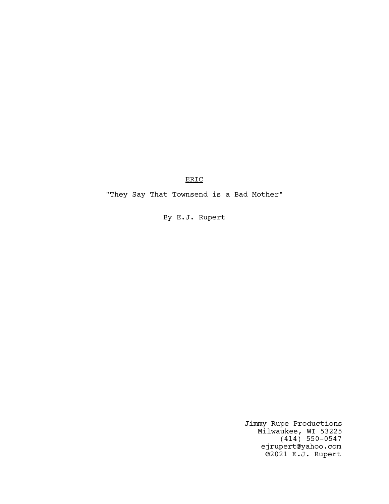ERIC

"They Say That Townsend is a Bad Mother"

By E.J. Rupert

Jimmy Rupe Productions Milwaukee, WI 53225 (414) 550-0547 ejrupert@yahoo.com ©2021 E.J. Rupert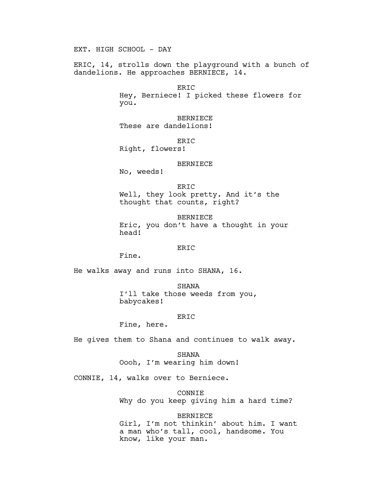EXT. HIGH SCHOOL - DAY

ERIC, 14, strolls down the playground with a bunch of dandelions. He approaches BERNIECE, 14.

> ERIC Hey, Berniece! I picked these flowers for you.

BERNIECE These are dandelions!

ERIC

Right, flowers!

## BERNIECE

No, weeds!

ERIC Well, they look pretty. And it's the thought that counts, right?

BERNIECE Eric, you don't have a thought in your head!

### ERIC

Fine.

He walks away and runs into SHANA, 16.

SHANA I'll take those weeds from you, babycakes!

# ERIC

Fine, here.

He gives them to Shana and continues to walk away.

SHANA Oooh, I'm wearing him down!

CONNIE, 14, walks over to Berniece.

CONNIE Why do you keep giving him a hard time?

BERNIECE Girl, I'm not thinkin' about him. I want a man who's tall, cool, handsome. You know, like your man.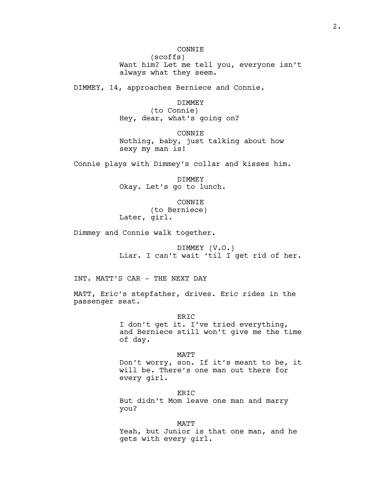CONNIE (scoffs) Want him? Let me tell you, everyone isn't always what they seem.

DIMMEY, 14, approaches Berniece and Connie.

DIMMEY (to Connie) Hey, dear, what's going on?

CONNIE Nothing, baby, just talking about how sexy my man is!

Connie plays with Dimmey's collar and kisses him.

DIMMEY Okay. Let's go to lunch.

CONNIE (to Berniece) Later, girl.

Dimmey and Connie walk together.

DIMMEY (V.O.) Liar. I can't wait 'til I get rid of her.

INT. MATT'S CAR - THE NEXT DAY

MATT, Eric's stepfather, drives. Eric rides in the passenger seat.

> ERIC I don't get it. I've tried everything, and Berniece still won't give me the time of day.

> MATT Don't worry, son. If it's meant to be, it will be. There's one man out there for every girl.

ERIC But didn't Mom leave one man and marry you?

MATT Yeah, but Junior is that one man, and he gets with every girl.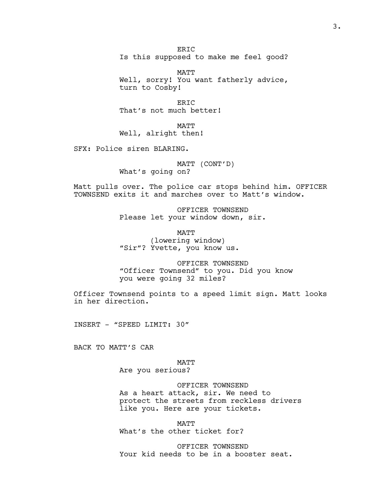ER<sub>TC</sub> Is this supposed to make me feel good?

MATT Well, sorry! You want fatherly advice, turn to Cosby!

ERIC That's not much better!

MATT Well, alright then!

SFX: Police siren BLARING.

MATT (CONT'D) What's going on?

Matt pulls over. The police car stops behind him. OFFICER TOWNSEND exits it and marches over to Matt's window.

> OFFICER TOWNSEND Please let your window down, sir.

**MATT** (lowering window) "Sir"? Yvette, you know us.

OFFICER TOWNSEND "Officer Townsend" to you. Did you know you were going 32 miles?

Officer Townsend points to a speed limit sign. Matt looks in her direction.

INSERT - "SPEED LIMIT: 30"

BACK TO MATT'S CAR

MATT Are you serious?

OFFICER TOWNSEND

As a heart attack, sir. We need to protect the streets from reckless drivers like you. Here are your tickets.

MATT What's the other ticket for?

OFFICER TOWNSEND Your kid needs to be in a booster seat.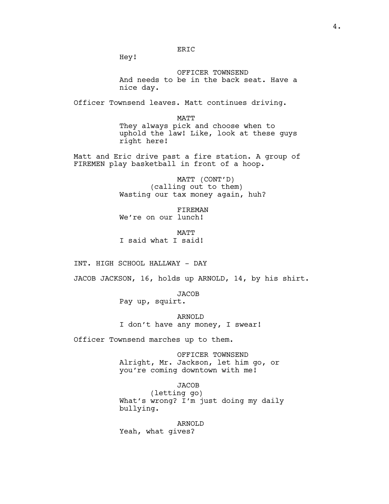Hey!

OFFICER TOWNSEND And needs to be in the back seat. Have a nice day.

Officer Townsend leaves. Matt continues driving.

ERIC

MATT They always pick and choose when to uphold the law! Like, look at these guys right here!

Matt and Eric drive past a fire station. A group of FIREMEN play basketball in front of a hoop.

> MATT (CONT'D) (calling out to them) Wasting our tax money again, huh?

FIREMAN We're on our lunch!

MATT I said what I said!

INT. HIGH SCHOOL HALLWAY - DAY

JACOB JACKSON, 16, holds up ARNOLD, 14, by his shirt.

JACOB Pay up, squirt.

ARNOLD I don't have any money, I swear!

Officer Townsend marches up to them.

OFFICER TOWNSEND Alright, Mr. Jackson, let him go, or you're coming downtown with me!

**JACOB** 

(letting go) What's wrong? I'm just doing my daily bullying.

ARNOLD Yeah, what gives?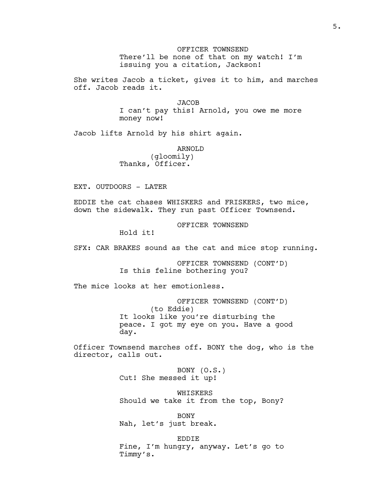OFFICER TOWNSEND There'll be none of that on my watch! I'm issuing you a citation, Jackson!

She writes Jacob a ticket, gives it to him, and marches off. Jacob reads it.

> **JACOB** I can't pay this! Arnold, you owe me more money now!

Jacob lifts Arnold by his shirt again.

ARNOLD (gloomily)

Thanks, Officer.

EXT. OUTDOORS - LATER

EDDIE the cat chases WHISKERS and FRISKERS, two mice, down the sidewalk. They run past Officer Townsend.

OFFICER TOWNSEND

Hold it!

SFX: CAR BRAKES sound as the cat and mice stop running.

OFFICER TOWNSEND (CONT'D) Is this feline bothering you?

The mice looks at her emotionless.

OFFICER TOWNSEND (CONT'D) (to Eddie) It looks like you're disturbing the peace. I got my eye on you. Have a good day.

Officer Townsend marches off. BONY the dog, who is the director, calls out.

> BONY (O.S.) Cut! She messed it up!

WHISKERS Should we take it from the top, Bony?

BONY Nah, let's just break.

EDDIE Fine, I'm hungry, anyway. Let's go to Timmy's.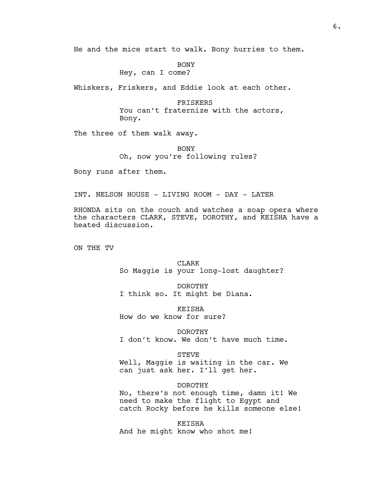He and the mice start to walk. Bony hurries to them.

BONY Hey, can I come?

Whiskers, Friskers, and Eddie look at each other.

FRISKERS You can't fraternize with the actors, Bony.

The three of them walk away.

BONY Oh, now you're following rules?

Bony runs after them.

INT. NELSON HOUSE - LIVING ROOM - DAY - LATER

RHONDA sits on the couch and watches a soap opera where the characters CLARK, STEVE, DOROTHY, and KEISHA have a heated discussion.

ON THE TV

CLARK So Maggie is your long-lost daughter?

DOROTHY I think so. It might be Diana.

KEISHA How do we know for sure?

DOROTHY I don't know. We don't have much time.

STEVE Well, Maggie is waiting in the car. We can just ask her. I'll get her.

DOROTHY No, there's not enough time, damn it! We need to make the flight to Egypt and catch Rocky before he kills someone else!

KEISHA And he might know who shot me!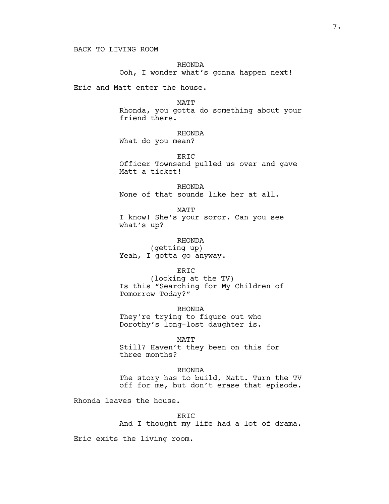# RHONDA

Ooh, I wonder what's gonna happen next!

Eric and Matt enter the house.

MATT

Rhonda, you gotta do something about your friend there.

# RHONDA

What do you mean?

ERIC

Officer Townsend pulled us over and gave Matt a ticket!

RHONDA None of that sounds like her at all.

MATT I know! She's your soror. Can you see what's up?

RHONDA (getting up) Yeah, I gotta go anyway.

ERIC

(looking at the TV) Is this "Searching for My Children of Tomorrow Today?"

RHONDA They're trying to figure out who Dorothy's long-lost daughter is.

MATT

Still? Haven't they been on this for three months?

RHONDA The story has to build, Matt. Turn the TV off for me, but don't erase that episode.

Rhonda leaves the house.

ER<sub>TC</sub>

And I thought my life had a lot of drama.

Eric exits the living room.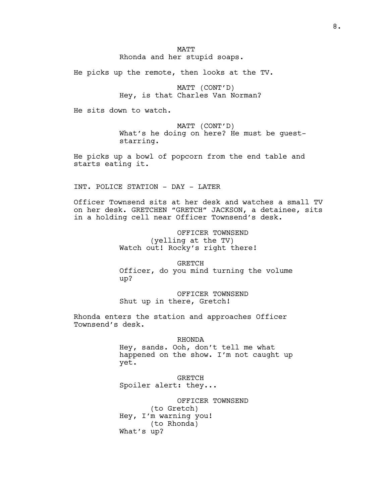He picks up the remote, then looks at the TV.

MATT (CONT'D) Hey, is that Charles Van Norman?

He sits down to watch.

MATT (CONT'D) What's he doing on here? He must be gueststarring.

He picks up a bowl of popcorn from the end table and starts eating it.

INT. POLICE STATION - DAY - LATER

Officer Townsend sits at her desk and watches a small TV on her desk. GRETCHEN "GRETCH" JACKSON, a detainee, sits in a holding cell near Officer Townsend's desk.

> OFFICER TOWNSEND (yelling at the TV) Watch out! Rocky's right there!

GRETCH Officer, do you mind turning the volume up?

OFFICER TOWNSEND Shut up in there, Gretch!

Rhonda enters the station and approaches Officer Townsend's desk.

### RHONDA

Hey, sands. Ooh, don't tell me what happened on the show. I'm not caught up yet.

GRETCH Spoiler alert: they...

OFFICER TOWNSEND (to Gretch) Hey, I'm warning you! (to Rhonda) What's up?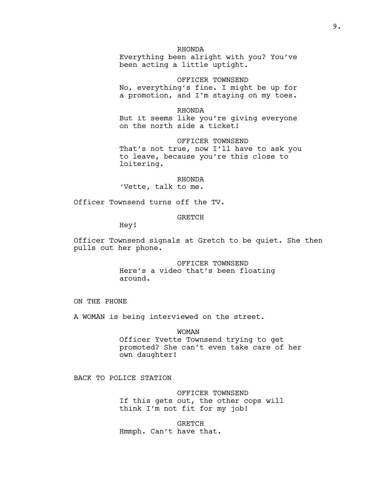RHONDA

Everything been alright with you? You've been acting a little uptight.

OFFICER TOWNSEND No, everything's fine. I might be up for a promotion, and I'm staying on my toes.

### RHONDA

But it seems like you're giving everyone on the north side a ticket!

OFFICER TOWNSEND That's not true, now I'll have to ask you to leave, because you're this close to loitering.

# RHONDA

'Vette, talk to me.

Officer Townsend turns off the TV.

# GRETCH

Hey!

Officer Townsend signals at Gretch to be quiet. She then pulls out her phone.

> OFFICER TOWNSEND Here's a video that's been floating around.

ON THE PHONE

A WOMAN is being interviewed on the street.

WOMAN Officer Yvette Townsend trying to get promoted? She can't even take care of her own daughter!

BACK TO POLICE STATION

OFFICER TOWNSEND If this gets out, the other cops will think I'm not fit for my job!

GRETCH Hmmph. Can't have that.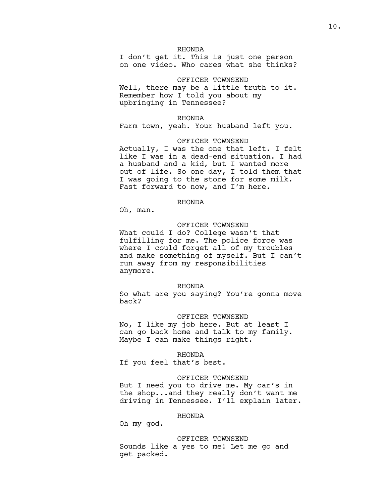# RHONDA

I don't get it. This is just one person on one video. Who cares what she thinks?

OFFICER TOWNSEND Well, there may be a little truth to it. Remember how I told you about my upbringing in Tennessee?

### RHONDA

Farm town, yeah. Your husband left you.

### OFFICER TOWNSEND

Actually, I was the one that left. I felt like I was in a dead-end situation. I had a husband and a kid, but I wanted more out of life. So one day, I told them that I was going to the store for some milk. Fast forward to now, and I'm here.

### RHONDA

Oh, man.

### OFFICER TOWNSEND

What could I do? College wasn't that fulfilling for me. The police force was where I could forget all of my troubles and make something of myself. But I can't run away from my responsibilities anymore.

### RHONDA

So what are you saying? You're gonna move back?

#### OFFICER TOWNSEND

No, I like my job here. But at least I can go back home and talk to my family. Maybe I can make things right.

# RHONDA

If you feel that's best.

### OFFICER TOWNSEND

But I need you to drive me. My car's in the shop...and they really don't want me driving in Tennessee. I'll explain later.

### RHONDA

Oh my god.

### OFFICER TOWNSEND

Sounds like a yes to me! Let me go and get packed.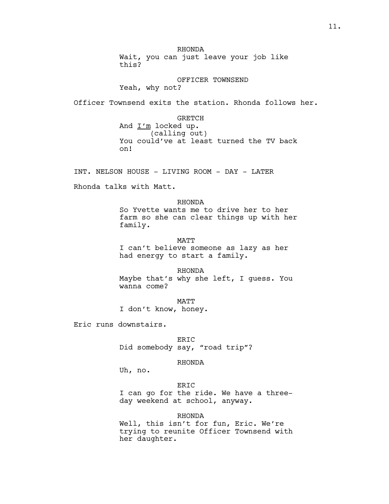RHONDA Wait, you can just leave your job like this?

OFFICER TOWNSEND Yeah, why not?

Officer Townsend exits the station. Rhonda follows her.

GRETCH And  $I'm$  locked up. (calling out) You could've at least turned the TV back on!

INT. NELSON HOUSE - LIVING ROOM - DAY - LATER

Rhonda talks with Matt.

RHONDA So Yvette wants me to drive her to her farm so she can clear things up with her family.

MATT I can't believe someone as lazy as her had energy to start a family.

RHONDA Maybe that's why she left, I guess. You wanna come?

MATT I don't know, honey.

Eric runs downstairs.

ERIC Did somebody say, "road trip"?

RHONDA

Uh, no.

# ERIC

I can go for the ride. We have a threeday weekend at school, anyway.

RHONDA Well, this isn't for fun, Eric. We're trying to reunite Officer Townsend with her daughter.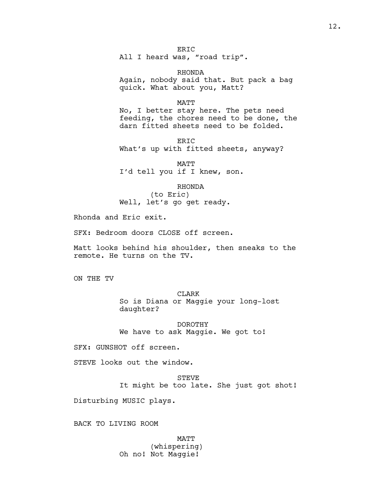ER<sub>IC</sub> All I heard was, "road trip".

RHONDA Again, nobody said that. But pack a bag quick. What about you, Matt?

MATT

No, I better stay here. The pets need feeding, the chores need to be done, the darn fitted sheets need to be folded.

ERIC What's up with fitted sheets, anyway?

MATT I'd tell you if I knew, son.

RHONDA

(to Eric) Well, let's go get ready.

Rhonda and Eric exit.

SFX: Bedroom doors CLOSE off screen.

Matt looks behind his shoulder, then sneaks to the remote. He turns on the TV.

ON THE TV

CLARK So is Diana or Maggie your long-lost daughter?

DOROTHY We have to ask Maggie. We got to!

SFX: GUNSHOT off screen.

STEVE looks out the window.

STEVE It might be too late. She just got shot!

Disturbing MUSIC plays.

BACK TO LIVING ROOM

**MATT** (whispering) Oh no! Not Maggie!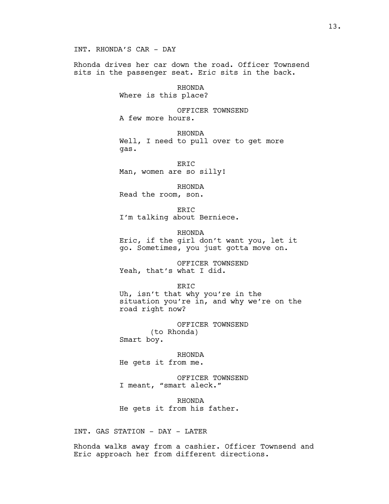Rhonda drives her car down the road. Officer Townsend sits in the passenger seat. Eric sits in the back.

> RHONDA Where is this place?

OFFICER TOWNSEND

A few more hours.

RHONDA Well, I need to pull over to get more gas.

ER<sub>IC</sub> Man, women are so silly!

RHONDA Read the room, son.

ERIC I'm talking about Berniece.

RHONDA Eric, if the girl don't want you, let it go. Sometimes, you just gotta move on.

OFFICER TOWNSEND Yeah, that's what I did.

ERIC Uh, isn't that why you're in the situation you're in, and why we're on the road right now?

OFFICER TOWNSEND (to Rhonda) Smart boy.

RHONDA He gets it from me.

OFFICER TOWNSEND I meant, "smart aleck."

RHONDA He gets it from his father.

INT. GAS STATION - DAY - LATER

Rhonda walks away from a cashier. Officer Townsend and Eric approach her from different directions.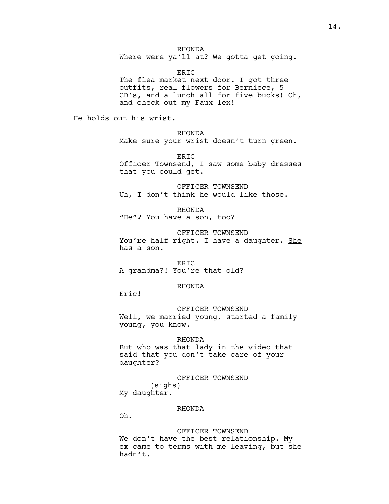RHONDA Where were ya'll at? We gotta get going.

ERIC

The flea market next door. I got three outfits, real flowers for Berniece, 5 CD's, and a lunch all for five bucks! Oh, and check out my Faux-lex!

He holds out his wrist.

RHONDA Make sure your wrist doesn't turn green.

ERIC Officer Townsend, I saw some baby dresses that you could get.

OFFICER TOWNSEND Uh, I don't think he would like those.

RHONDA "He"? You have a son, too?

OFFICER TOWNSEND You're half-right. I have a daughter. She has a son.

ERIC A grandma?! You're that old?

## RHONDA

Eric!

OFFICER TOWNSEND Well, we married young, started a family young, you know.

# RHONDA

But who was that lady in the video that said that you don't take care of your daughter?

OFFICER TOWNSEND (sighs) My daughter.

### RHONDA

Oh.

OFFICER TOWNSEND We don't have the best relationship. My ex came to terms with me leaving, but she hadn't.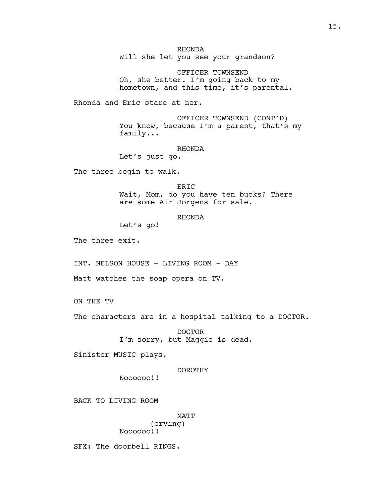RHONDA Will she let you see your grandson?

OFFICER TOWNSEND Oh, she better. I'm going back to my hometown, and this time, it's parental.

Rhonda and Eric stare at her.

OFFICER TOWNSEND (CONT'D) You know, because I'm a parent, that's my family...

RHONDA

Let's just go.

The three begin to walk.

ERIC Wait, Mom, do you have ten bucks? There are some Air Jorgens for sale.

RHONDA

Let's go!

The three exit.

INT. NELSON HOUSE - LIVING ROOM - DAY

Matt watches the soap opera on TV.

ON THE TV

The characters are in a hospital talking to a DOCTOR.

DOCTOR I'm sorry, but Maggie is dead.

Sinister MUSIC plays.

### DOROTHY

Noooooo!!

BACK TO LIVING ROOM

MATT (crying) Noooooo!!

SFX: The doorbell RINGS.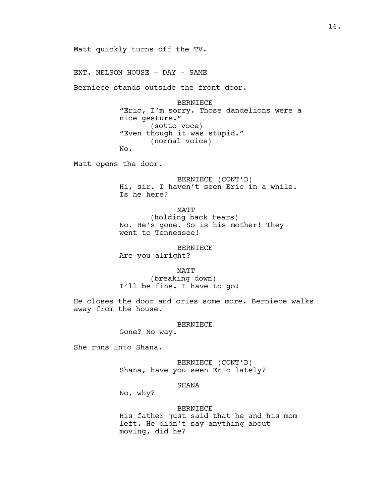Matt quickly turns off the TV.

EXT. NELSON HOUSE - DAY - SAME

Berniece stands outside the front door.

BERNIECE "Eric, I'm sorry. Those dandelions were a nice gesture." (sotto voce) "Even though it was stupid." (normal voice) No.

Matt opens the door.

BERNIECE (CONT'D) Hi, sir. I haven't seen Eric in a while. Is he here?

MATT (holding back tears) No. He's gone. So is his mother! They went to Tennessee!

BERNIECE

Are you alright?

MATT

(breaking down) I'll be fine. I have to go!

He closes the door and cries some more. Berniece walks away from the house.

#### BERNIECE

Gone? No way.

She runs into Shana.

BERNIECE (CONT'D) Shana, have you seen Eric lately?

# SHANA

No, why?

#### BERNIECE

His father just said that he and his mom left. He didn't say anything about moving, did he?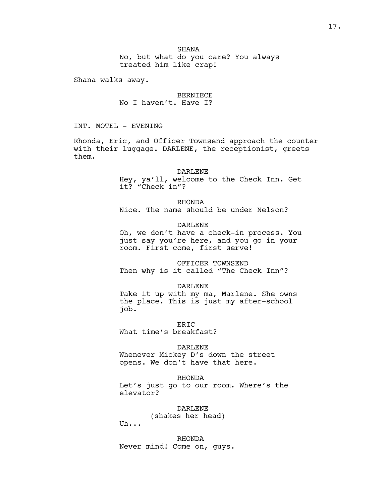**SHANA** No, but what do you care? You always treated him like crap!

Shana walks away.

BERNIECE No I haven't. Have I?

INT. MOTEL - EVENING

Rhonda, Eric, and Officer Townsend approach the counter with their luggage. DARLENE, the receptionist, greets them.

## DARLENE

Hey, ya'll, welcome to the Check Inn. Get it? "Check in"?

# RHONDA

Nice. The name should be under Nelson?

# DARLENE

Oh, we don't have a check-in process. You just say you're here, and you go in your room. First come, first serve!

# OFFICER TOWNSEND Then why is it called "The Check Inn"?

## DARLENE

Take it up with my ma, Marlene. She owns the place. This is just my after-school job.

ER<sub>TC</sub>

What time's breakfast?

### DARLENE

Whenever Mickey D's down the street opens. We don't have that here.

### RHONDA

Let's just go to our room. Where's the elevator?

DARLENE

(shakes her head)

Uh...

RHONDA Never mind! Come on, guys.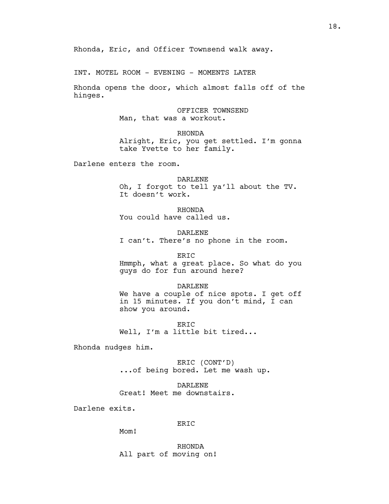Rhonda, Eric, and Officer Townsend walk away.

INT. MOTEL ROOM - EVENING - MOMENTS LATER

Rhonda opens the door, which almost falls off of the hinges.

> OFFICER TOWNSEND Man, that was a workout.

RHONDA Alright, Eric, you get settled. I'm gonna take Yvette to her family.

Darlene enters the room.

DARLENE Oh, I forgot to tell ya'll about the TV. It doesn't work.

RHONDA You could have called us.

DARLENE I can't. There's no phone in the room.

ERIC Hmmph, what a great place. So what do you guys do for fun around here?

DARLENE We have a couple of nice spots. I get off in 15 minutes. If you don't mind, I can show you around.

ERIC Well, I'm a little bit tired...

Rhonda nudges him.

ERIC (CONT'D) ...of being bored. Let me wash up.

DARLENE Great! Meet me downstairs.

Darlene exits.

# ERIC

Mom!

RHONDA All part of moving on!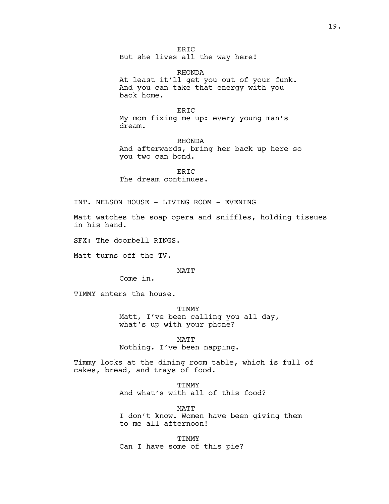ERIC But she lives all the way here!

RHONDA At least it'll get you out of your funk. And you can take that energy with you back home.

### ERIC

My mom fixing me up: every young man's dream.

RHONDA And afterwards, bring her back up here so you two can bond.

ERIC The dream continues.

INT. NELSON HOUSE - LIVING ROOM - EVENING

Matt watches the soap opera and sniffles, holding tissues in his hand.

SFX: The doorbell RINGS.

Matt turns off the TV.

#### MATT

Come in.

TIMMY enters the house.

### TIMMY

Matt, I've been calling you all day, what's up with your phone?

MATT Nothing. I've been napping.

Timmy looks at the dining room table, which is full of cakes, bread, and trays of food.

> **TIMMY** And what's with all of this food?

MATT I don't know. Women have been giving them to me all afternoon!

**TTMMY** Can I have some of this pie?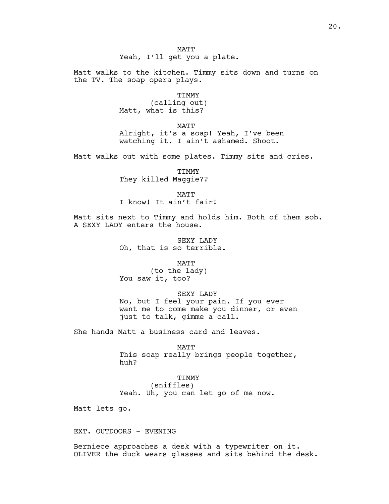**MATT** Yeah, I'll get you a plate.

Matt walks to the kitchen. Timmy sits down and turns on the TV. The soap opera plays.

TIMMY

(calling out) Matt, what is this?

MATT

Alright, it's a soap! Yeah, I've been watching it. I ain't ashamed. Shoot.

Matt walks out with some plates. Timmy sits and cries.

TIMMY They killed Maggie??

MATT

I know! It ain't fair!

Matt sits next to Timmy and holds him. Both of them sob. A SEXY LADY enters the house.

> SEXY LADY Oh, that is so terrible.

> > MATT

(to the lady) You saw it, too?

### SEXY LADY

No, but I feel your pain. If you ever want me to come make you dinner, or even just to talk, gimme a call.

She hands Matt a business card and leaves.

MATT

This soap really brings people together, huh?

TIMMY

(sniffles) Yeah. Uh, you can let go of me now.

Matt lets go.

EXT. OUTDOORS - EVENING

Berniece approaches a desk with a typewriter on it. OLIVER the duck wears glasses and sits behind the desk.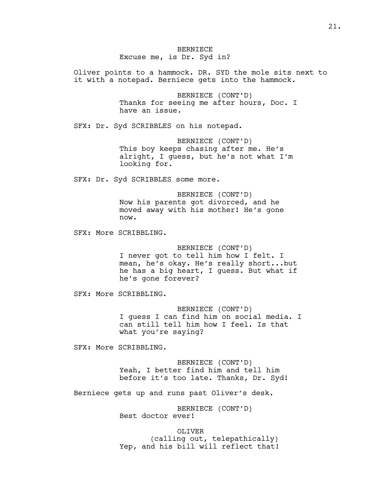BERNIECE Excuse me, is Dr. Syd in?

Oliver points to a hammock. DR. SYD the mole sits next to it with a notepad. Berniece gets into the hammock.

> BERNIECE (CONT'D) Thanks for seeing me after hours, Doc. I have an issue.

SFX: Dr. Syd SCRIBBLES on his notepad.

BERNIECE (CONT'D) This boy keeps chasing after me. He's alright, I guess, but he's not what I'm looking for.

SFX: Dr. Syd SCRIBBLES some more.

BERNIECE (CONT'D) Now his parents got divorced, and he moved away with his mother! He's gone now.

SFX: More SCRIBBLING.

BERNIECE (CONT'D) I never got to tell him how I felt. I mean, he's okay. He's really short...but he has a big heart, I guess. But what if he's gone forever?

SFX: More SCRIBBLING.

BERNIECE (CONT'D) I guess I can find him on social media. I can still tell him how I feel. Is that what you're saying?

SFX: More SCRIBBLING.

BERNIECE (CONT'D) Yeah, I better find him and tell him before it's too late. Thanks, Dr. Syd!

Berniece gets up and runs past Oliver's desk.

BERNIECE (CONT'D) Best doctor ever!

OLIVER (calling out, telepathically) Yep, and his bill will reflect that!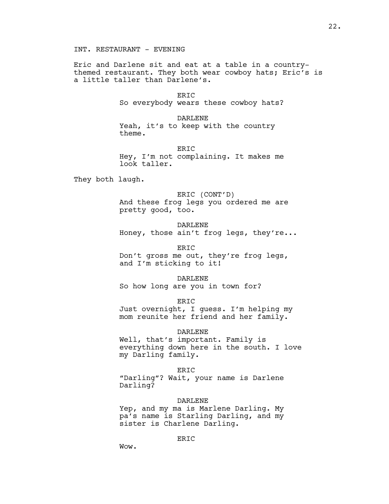Eric and Darlene sit and eat at a table in a countrythemed restaurant. They both wear cowboy hats; Eric's is a little taller than Darlene's.

> ERIC So everybody wears these cowboy hats?

DARLENE Yeah, it's to keep with the country theme.

ERIC

Hey, I'm not complaining. It makes me look taller.

They both laugh.

ERIC (CONT'D) And these frog legs you ordered me are pretty good, too.

DARLENE Honey, those ain't frog legs, they're...

ERIC Don't gross me out, they're frog legs, and I'm sticking to it!

DARLENE So how long are you in town for?

ERIC Just overnight, I guess. I'm helping my mom reunite her friend and her family.

DARLENE Well, that's important. Family is everything down here in the south. I love my Darling family.

ERIC "Darling"? Wait, your name is Darlene Darling?

DARLENE Yep, and my ma is Marlene Darling. My pa's name is Starling Darling, and my

ER<sub>IC</sub>

sister is Charlene Darling.

Wow.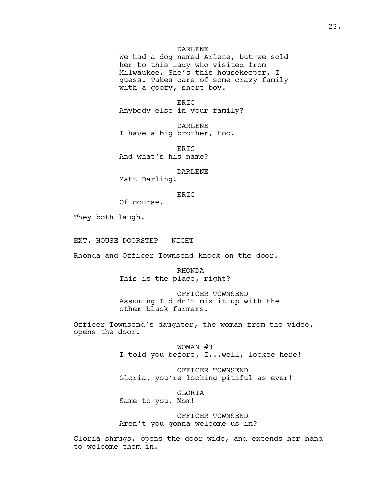# DARLENE

We had a dog named Arlene, but we sold her to this lady who visited from Milwaukee. She's this housekeeper, I guess. Takes care of some crazy family with a goofy, short boy.

ERIC Anybody else in your family?

DARLENE I have a big brother, too.

ER<sub>TC</sub> And what's his name?

#### DARLENE

Matt Darling!

### ERIC

Of course.

They both laugh.

EXT. HOUSE DOORSTEP - NIGHT

Rhonda and Officer Townsend knock on the door.

RHONDA This is the place, right?

OFFICER TOWNSEND Assuming I didn't mix it up with the other black farmers.

Officer Townsend's daughter, the woman from the video, opens the door.

> WOMAN #3 I told you before, I...well, lookee here!

OFFICER TOWNSEND Gloria, you're looking pitiful as ever!

GLORIA Same to you, Mom!

OFFICER TOWNSEND Aren't you gonna welcome us in?

Gloria shrugs, opens the door wide, and extends her hand to welcome them in.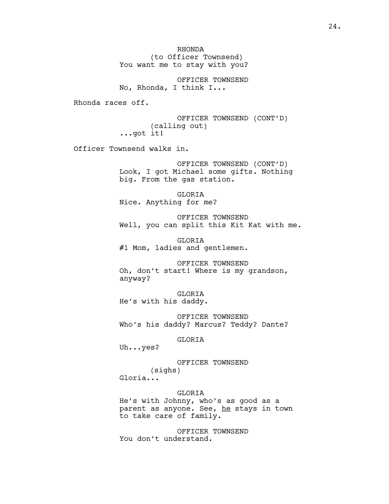RHONDA (to Officer Townsend) You want me to stay with you?

OFFICER TOWNSEND No, Rhonda, I think I...

Rhonda races off.

OFFICER TOWNSEND (CONT'D) (calling out) ...got it!

Officer Townsend walks in.

OFFICER TOWNSEND (CONT'D) Look, I got Michael some gifts. Nothing big. From the gas station.

GLORIA Nice. Anything for me?

OFFICER TOWNSEND Well, you can split this Kit Kat with me.

GLORIA #1 Mom, ladies and gentlemen.

OFFICER TOWNSEND Oh, don't start! Where is my grandson, anyway?

GLORIA He's with his daddy.

OFFICER TOWNSEND Who's his daddy? Marcus? Teddy? Dante?

GLORIA

Uh...yes?

OFFICER TOWNSEND (sighs)

Gloria...

GLORIA

He's with Johnny, who's as good as a parent as anyone. See, he stays in town to take care of family.

OFFICER TOWNSEND You don't understand.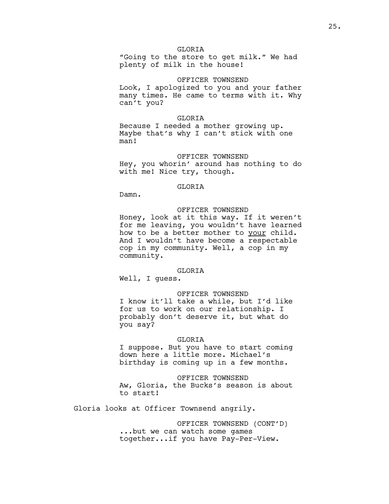"Going to the store to get milk." We had plenty of milk in the house!

### OFFICER TOWNSEND

Look, I apologized to you and your father many times. He came to terms with it. Why can't you?

### GLORTA

Because I needed a mother growing up. Maybe that's why I can't stick with one man!

### OFFICER TOWNSEND

Hey, you whorin' around has nothing to do with me! Nice try, though.

### GLORIA

Damn.

# OFFICER TOWNSEND

Honey, look at it this way. If it weren't for me leaving, you wouldn't have learned how to be a better mother to your child. And I wouldn't have become a respectable cop in my community. Well, a cop in my community.

### GLORTA

Well, I guess.

# OFFICER TOWNSEND

I know it'll take a while, but I'd like for us to work on our relationship. I probably don't deserve it, but what do you say?

### GLORIA

I suppose. But you have to start coming down here a little more. Michael's birthday is coming up in a few months.

### OFFICER TOWNSEND

Aw, Gloria, the Bucks's season is about to start!

Gloria looks at Officer Townsend angrily.

OFFICER TOWNSEND (CONT'D) ...but we can watch some games together...if you have Pay-Per-View.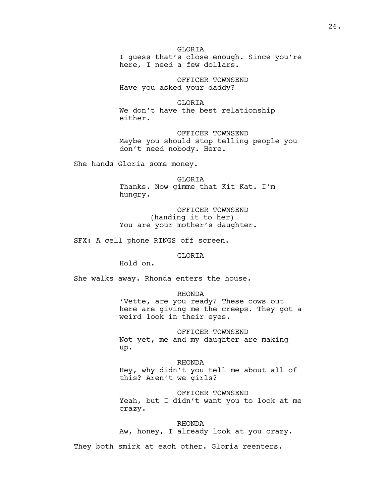GLORTA I guess that's close enough. Since you're here, I need a few dollars.

OFFICER TOWNSEND Have you asked your daddy?

GLORIA We don't have the best relationship either.

OFFICER TOWNSEND Maybe you should stop telling people you don't need nobody. Here.

She hands Gloria some money.

GLORIA Thanks. Now gimme that Kit Kat. I'm hungry.

OFFICER TOWNSEND (handing it to her) You are your mother's daughter.

SFX: A cell phone RINGS off screen.

# GLORIA

Hold on.

She walks away. Rhonda enters the house.

RHONDA

'Vette, are you ready? These cows out here are giving me the creeps. They got a weird look in their eyes.

OFFICER TOWNSEND Not yet, me and my daughter are making up.

RHONDA Hey, why didn't you tell me about all of this? Aren't we girls?

OFFICER TOWNSEND Yeah, but I didn't want you to look at me crazy.

RHONDA

Aw, honey, I already look at you crazy.

They both smirk at each other. Gloria reenters.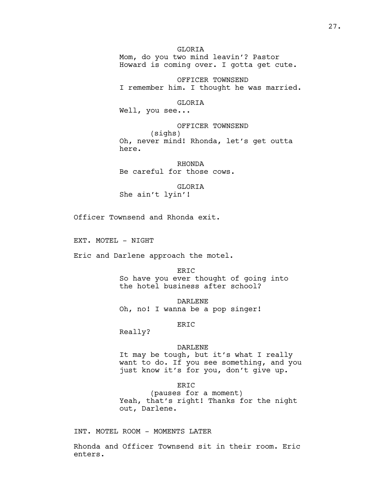# GLORIA

Mom, do you two mind leavin'? Pastor Howard is coming over. I gotta get cute.

OFFICER TOWNSEND I remember him. I thought he was married.

GLORIA

Well, you see...

OFFICER TOWNSEND (sighs) Oh, never mind! Rhonda, let's get outta here.

RHONDA Be careful for those cows.

GLORIA She ain't lyin'!

Officer Townsend and Rhonda exit.

EXT. MOTEL - NIGHT

Eric and Darlene approach the motel.

ERIC So have you ever thought of going into the hotel business after school?

DARLENE Oh, no! I wanna be a pop singer!

ERIC

Really?

### DARLENE

It may be tough, but it's what I really want to do. If you see something, and you just know it's for you, don't give up.

ERIC

(pauses for a moment) Yeah, that's right! Thanks for the night out, Darlene.

INT. MOTEL ROOM - MOMENTS LATER

Rhonda and Officer Townsend sit in their room. Eric enters.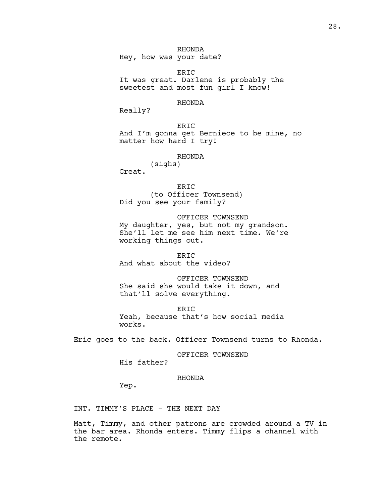RHONDA Hey, how was your date?

ERIC It was great. Darlene is probably the sweetest and most fun girl I know!

## RHONDA

Really?

ERIC And I'm gonna get Berniece to be mine, no matter how hard I try!

#### RHONDA

(sighs) Great.

ERIC (to Officer Townsend) Did you see your family?

OFFICER TOWNSEND My daughter, yes, but not my grandson. She'll let me see him next time. We're working things out.

ERIC And what about the video?

OFFICER TOWNSEND She said she would take it down, and that'll solve everything.

ERIC Yeah, because that's how social media works.

Eric goes to the back. Officer Townsend turns to Rhonda.

OFFICER TOWNSEND

His father?

# RHONDA

Yep.

INT. TIMMY'S PLACE - THE NEXT DAY

Matt, Timmy, and other patrons are crowded around a TV in the bar area. Rhonda enters. Timmy flips a channel with the remote.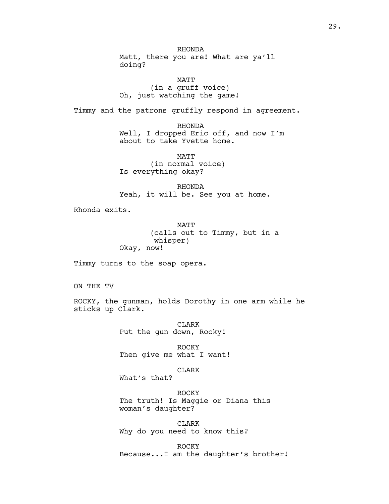RHONDA Matt, there you are! What are ya'll doing?

MATT (in a gruff voice) Oh, just watching the game!

Timmy and the patrons gruffly respond in agreement.

RHONDA Well, I dropped Eric off, and now I'm about to take Yvette home.

MATT (in normal voice) Is everything okay?

RHONDA Yeah, it will be. See you at home.

Rhonda exits.

MATT (calls out to Timmy, but in a whisper) Okay, now!

Timmy turns to the soap opera.

ON THE TV

ROCKY, the gunman, holds Dorothy in one arm while he sticks up Clark.

> CLARK Put the gun down, Rocky!

ROCKY Then give me what I want!

CLARK

What's that?

ROCKY The truth! Is Maggie or Diana this woman's daughter?

CLARK Why do you need to know this?

ROCKY Because...I am the daughter's brother!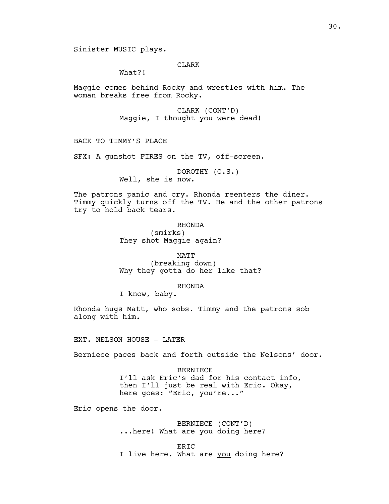# CLARK

What?!

Maggie comes behind Rocky and wrestles with him. The woman breaks free from Rocky.

> CLARK (CONT'D) Maggie, I thought you were dead!

BACK TO TIMMY'S PLACE

SFX: A gunshot FIRES on the TV, off-screen.

DOROTHY (O.S.) Well, she is now.

The patrons panic and cry. Rhonda reenters the diner. Timmy quickly turns off the TV. He and the other patrons try to hold back tears.

> RHONDA (smirks) They shot Maggie again?

MATT (breaking down) Why they gotta do her like that?

## RHONDA

I know, baby.

Rhonda hugs Matt, who sobs. Timmy and the patrons sob along with him.

EXT. NELSON HOUSE - LATER

Berniece paces back and forth outside the Nelsons' door.

BERNIECE I'll ask Eric's dad for his contact info, then I'll just be real with Eric. Okay, here goes: "Eric, you're..."

Eric opens the door.

BERNIECE (CONT'D) ...here! What are you doing here?

ERIC I live here. What are you doing here?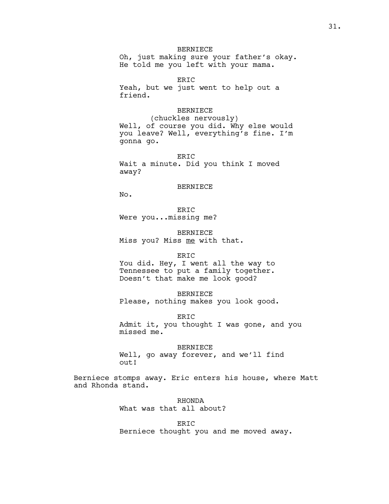# BERNIECE

Oh, just making sure your father's okay. He told me you left with your mama.

ERIC Yeah, but we just went to help out a friend.

# BERNIECE

(chuckles nervously) Well, of course you did. Why else would you leave? Well, everything's fine. I'm gonna go.

ERIC Wait a minute. Did you think I moved away?

#### BERNIECE

No.

ERIC Were you...missing me?

BERNIECE Miss you? Miss me with that.

### ERIC

You did. Hey, I went all the way to Tennessee to put a family together. Doesn't that make me look good?

#### BERNIECE

Please, nothing makes you look good.

ERIC

Admit it, you thought I was gone, and you missed me.

# BERNIECE

Well, go away forever, and we'll find out!

Berniece stomps away. Eric enters his house, where Matt and Rhonda stand.

> RHONDA What was that all about?

ERIC Berniece thought you and me moved away.